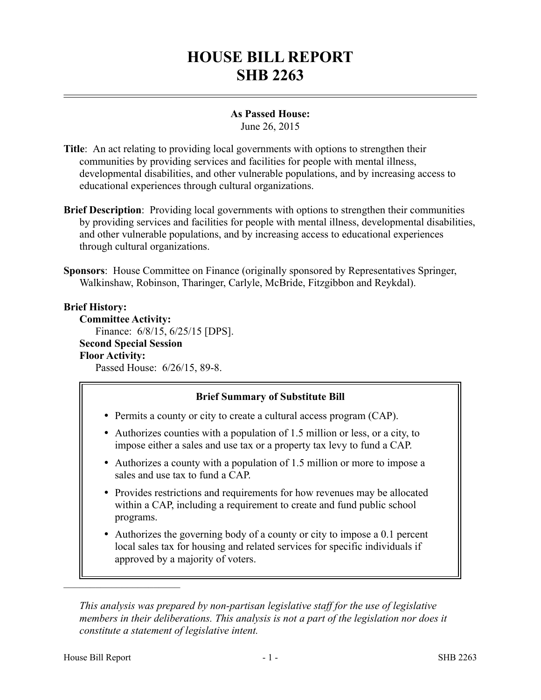# **HOUSE BILL REPORT SHB 2263**

# **As Passed House:**

June 26, 2015

- **Title**: An act relating to providing local governments with options to strengthen their communities by providing services and facilities for people with mental illness, developmental disabilities, and other vulnerable populations, and by increasing access to educational experiences through cultural organizations.
- **Brief Description**: Providing local governments with options to strengthen their communities by providing services and facilities for people with mental illness, developmental disabilities, and other vulnerable populations, and by increasing access to educational experiences through cultural organizations.

**Sponsors**: House Committee on Finance (originally sponsored by Representatives Springer, Walkinshaw, Robinson, Tharinger, Carlyle, McBride, Fitzgibbon and Reykdal).

# **Brief History:**

**Committee Activity:** Finance: 6/8/15, 6/25/15 [DPS]. **Second Special Session Floor Activity:** Passed House: 6/26/15, 89-8.

# **Brief Summary of Substitute Bill**

- Permits a county or city to create a cultural access program (CAP).
- Authorizes counties with a population of 1.5 million or less, or a city, to impose either a sales and use tax or a property tax levy to fund a CAP.
- Authorizes a county with a population of 1.5 million or more to impose a sales and use tax to fund a CAP.
- Provides restrictions and requirements for how revenues may be allocated within a CAP, including a requirement to create and fund public school programs.
- Authorizes the governing body of a county or city to impose a 0.1 percent local sales tax for housing and related services for specific individuals if approved by a majority of voters.

*This analysis was prepared by non-partisan legislative staff for the use of legislative members in their deliberations. This analysis is not a part of the legislation nor does it constitute a statement of legislative intent.*

––––––––––––––––––––––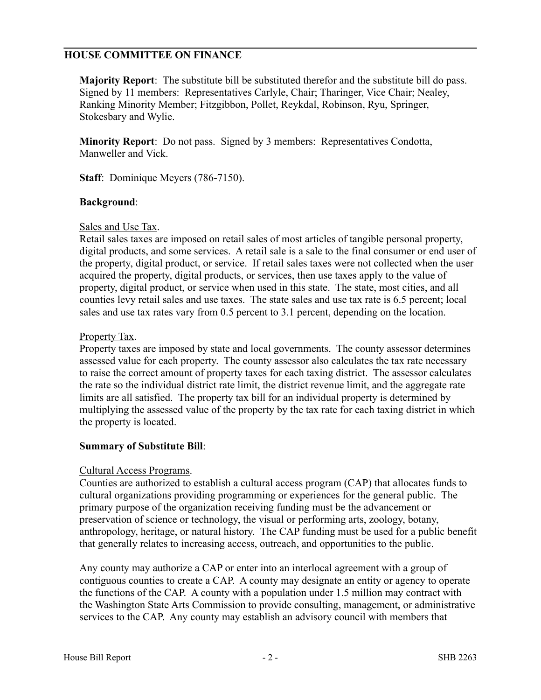# **HOUSE COMMITTEE ON FINANCE**

**Majority Report**: The substitute bill be substituted therefor and the substitute bill do pass. Signed by 11 members: Representatives Carlyle, Chair; Tharinger, Vice Chair; Nealey, Ranking Minority Member; Fitzgibbon, Pollet, Reykdal, Robinson, Ryu, Springer, Stokesbary and Wylie.

**Minority Report**: Do not pass. Signed by 3 members: Representatives Condotta, Manweller and Vick.

**Staff**: Dominique Meyers (786-7150).

#### **Background**:

#### Sales and Use Tax.

Retail sales taxes are imposed on retail sales of most articles of tangible personal property, digital products, and some services. A retail sale is a sale to the final consumer or end user of the property, digital product, or service. If retail sales taxes were not collected when the user acquired the property, digital products, or services, then use taxes apply to the value of property, digital product, or service when used in this state. The state, most cities, and all counties levy retail sales and use taxes. The state sales and use tax rate is 6.5 percent; local sales and use tax rates vary from 0.5 percent to 3.1 percent, depending on the location.

#### Property Tax.

Property taxes are imposed by state and local governments. The county assessor determines assessed value for each property. The county assessor also calculates the tax rate necessary to raise the correct amount of property taxes for each taxing district. The assessor calculates the rate so the individual district rate limit, the district revenue limit, and the aggregate rate limits are all satisfied. The property tax bill for an individual property is determined by multiplying the assessed value of the property by the tax rate for each taxing district in which the property is located.

# **Summary of Substitute Bill**:

#### Cultural Access Programs.

Counties are authorized to establish a cultural access program (CAP) that allocates funds to cultural organizations providing programming or experiences for the general public. The primary purpose of the organization receiving funding must be the advancement or preservation of science or technology, the visual or performing arts, zoology, botany, anthropology, heritage, or natural history. The CAP funding must be used for a public benefit that generally relates to increasing access, outreach, and opportunities to the public.

Any county may authorize a CAP or enter into an interlocal agreement with a group of contiguous counties to create a CAP. A county may designate an entity or agency to operate the functions of the CAP. A county with a population under 1.5 million may contract with the Washington State Arts Commission to provide consulting, management, or administrative services to the CAP. Any county may establish an advisory council with members that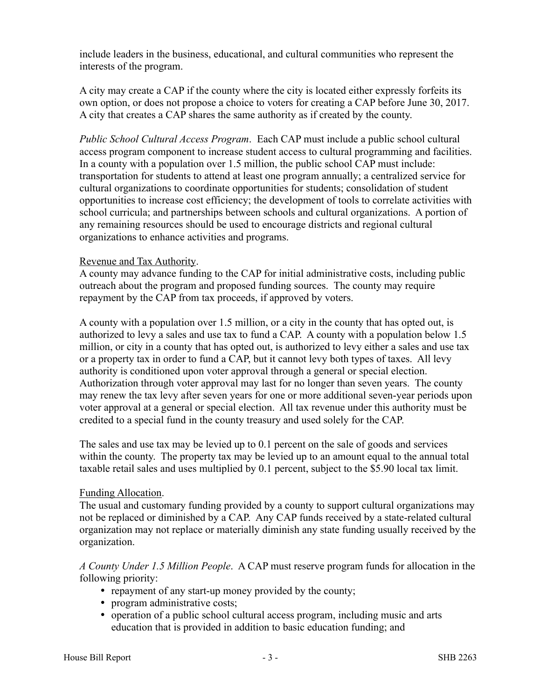include leaders in the business, educational, and cultural communities who represent the interests of the program.

A city may create a CAP if the county where the city is located either expressly forfeits its own option, or does not propose a choice to voters for creating a CAP before June 30, 2017. A city that creates a CAP shares the same authority as if created by the county.

*Public School Cultural Access Program*. Each CAP must include a public school cultural access program component to increase student access to cultural programming and facilities. In a county with a population over 1.5 million, the public school CAP must include: transportation for students to attend at least one program annually; a centralized service for cultural organizations to coordinate opportunities for students; consolidation of student opportunities to increase cost efficiency; the development of tools to correlate activities with school curricula; and partnerships between schools and cultural organizations. A portion of any remaining resources should be used to encourage districts and regional cultural organizations to enhance activities and programs.

#### Revenue and Tax Authority.

A county may advance funding to the CAP for initial administrative costs, including public outreach about the program and proposed funding sources. The county may require repayment by the CAP from tax proceeds, if approved by voters.

A county with a population over 1.5 million, or a city in the county that has opted out, is authorized to levy a sales and use tax to fund a CAP. A county with a population below 1.5 million, or city in a county that has opted out, is authorized to levy either a sales and use tax or a property tax in order to fund a CAP, but it cannot levy both types of taxes. All levy authority is conditioned upon voter approval through a general or special election. Authorization through voter approval may last for no longer than seven years. The county may renew the tax levy after seven years for one or more additional seven-year periods upon voter approval at a general or special election. All tax revenue under this authority must be credited to a special fund in the county treasury and used solely for the CAP.

The sales and use tax may be levied up to 0.1 percent on the sale of goods and services within the county. The property tax may be levied up to an amount equal to the annual total taxable retail sales and uses multiplied by 0.1 percent, subject to the \$5.90 local tax limit.

#### Funding Allocation.

The usual and customary funding provided by a county to support cultural organizations may not be replaced or diminished by a CAP. Any CAP funds received by a state-related cultural organization may not replace or materially diminish any state funding usually received by the organization.

*A County Under 1.5 Million People*. A CAP must reserve program funds for allocation in the following priority:

- repayment of any start-up money provided by the county;
- program administrative costs;
- operation of a public school cultural access program, including music and arts education that is provided in addition to basic education funding; and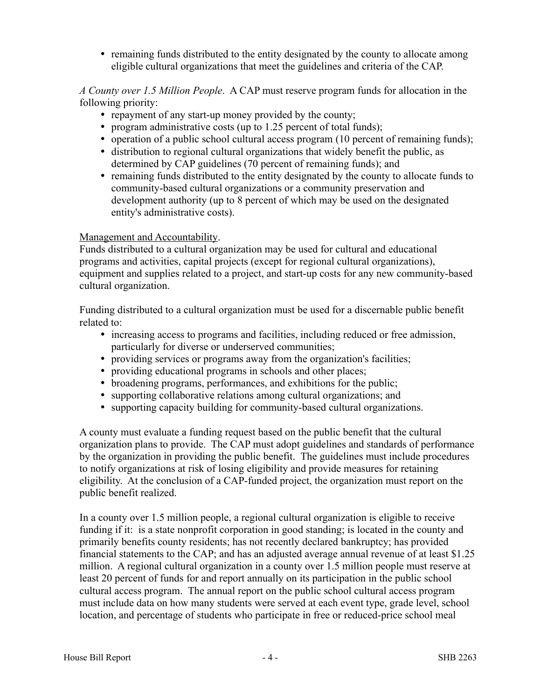• remaining funds distributed to the entity designated by the county to allocate among eligible cultural organizations that meet the guidelines and criteria of the CAP.

*A County over 1.5 Million People*. A CAP must reserve program funds for allocation in the following priority:

- repayment of any start-up money provided by the county;
- program administrative costs (up to 1.25 percent of total funds);
- operation of a public school cultural access program (10 percent of remaining funds);
- distribution to regional cultural organizations that widely benefit the public, as determined by CAP guidelines (70 percent of remaining funds); and
- remaining funds distributed to the entity designated by the county to allocate funds to community-based cultural organizations or a community preservation and development authority (up to 8 percent of which may be used on the designated entity's administrative costs).

# Management and Accountability.

Funds distributed to a cultural organization may be used for cultural and educational programs and activities, capital projects (except for regional cultural organizations), equipment and supplies related to a project, and start-up costs for any new community-based cultural organization.

Funding distributed to a cultural organization must be used for a discernable public benefit related to:

- increasing access to programs and facilities, including reduced or free admission, particularly for diverse or underserved communities;
- providing services or programs away from the organization's facilities;
- providing educational programs in schools and other places;
- broadening programs, performances, and exhibitions for the public;
- supporting collaborative relations among cultural organizations; and
- supporting capacity building for community-based cultural organizations.

A county must evaluate a funding request based on the public benefit that the cultural organization plans to provide. The CAP must adopt guidelines and standards of performance by the organization in providing the public benefit. The guidelines must include procedures to notify organizations at risk of losing eligibility and provide measures for retaining eligibility. At the conclusion of a CAP-funded project, the organization must report on the public benefit realized.

In a county over 1.5 million people, a regional cultural organization is eligible to receive funding if it: is a state nonprofit corporation in good standing; is located in the county and primarily benefits county residents; has not recently declared bankruptcy; has provided financial statements to the CAP; and has an adjusted average annual revenue of at least \$1.25 million. A regional cultural organization in a county over 1.5 million people must reserve at least 20 percent of funds for and report annually on its participation in the public school cultural access program. The annual report on the public school cultural access program must include data on how many students were served at each event type, grade level, school location, and percentage of students who participate in free or reduced-price school meal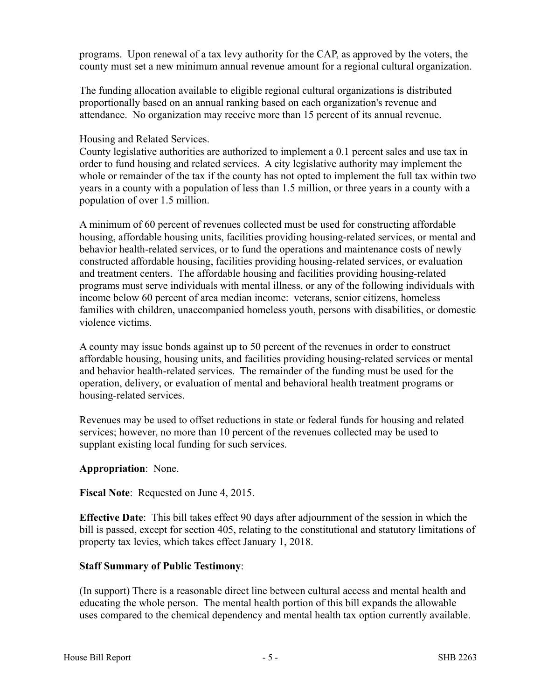programs. Upon renewal of a tax levy authority for the CAP, as approved by the voters, the county must set a new minimum annual revenue amount for a regional cultural organization.

The funding allocation available to eligible regional cultural organizations is distributed proportionally based on an annual ranking based on each organization's revenue and attendance. No organization may receive more than 15 percent of its annual revenue.

#### Housing and Related Services.

County legislative authorities are authorized to implement a 0.1 percent sales and use tax in order to fund housing and related services. A city legislative authority may implement the whole or remainder of the tax if the county has not opted to implement the full tax within two years in a county with a population of less than 1.5 million, or three years in a county with a population of over 1.5 million.

A minimum of 60 percent of revenues collected must be used for constructing affordable housing, affordable housing units, facilities providing housing-related services, or mental and behavior health-related services, or to fund the operations and maintenance costs of newly constructed affordable housing, facilities providing housing-related services, or evaluation and treatment centers. The affordable housing and facilities providing housing-related programs must serve individuals with mental illness, or any of the following individuals with income below 60 percent of area median income: veterans, senior citizens, homeless families with children, unaccompanied homeless youth, persons with disabilities, or domestic violence victims.

A county may issue bonds against up to 50 percent of the revenues in order to construct affordable housing, housing units, and facilities providing housing-related services or mental and behavior health-related services. The remainder of the funding must be used for the operation, delivery, or evaluation of mental and behavioral health treatment programs or housing-related services.

Revenues may be used to offset reductions in state or federal funds for housing and related services; however, no more than 10 percent of the revenues collected may be used to supplant existing local funding for such services.

# **Appropriation**: None.

#### **Fiscal Note**: Requested on June 4, 2015.

**Effective Date**: This bill takes effect 90 days after adjournment of the session in which the bill is passed, except for section 405, relating to the constitutional and statutory limitations of property tax levies, which takes effect January 1, 2018.

# **Staff Summary of Public Testimony**:

(In support) There is a reasonable direct line between cultural access and mental health and educating the whole person. The mental health portion of this bill expands the allowable uses compared to the chemical dependency and mental health tax option currently available.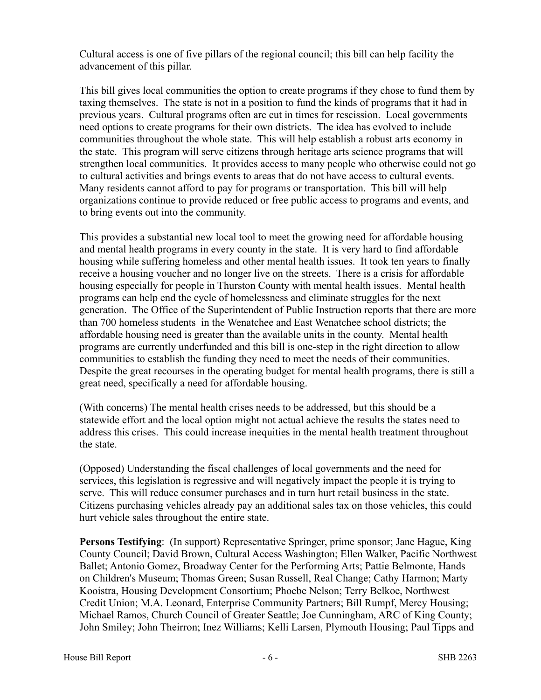Cultural access is one of five pillars of the regional council; this bill can help facility the advancement of this pillar.

This bill gives local communities the option to create programs if they chose to fund them by taxing themselves. The state is not in a position to fund the kinds of programs that it had in previous years. Cultural programs often are cut in times for rescission. Local governments need options to create programs for their own districts. The idea has evolved to include communities throughout the whole state. This will help establish a robust arts economy in the state. This program will serve citizens through heritage arts science programs that will strengthen local communities. It provides access to many people who otherwise could not go to cultural activities and brings events to areas that do not have access to cultural events. Many residents cannot afford to pay for programs or transportation. This bill will help organizations continue to provide reduced or free public access to programs and events, and to bring events out into the community.

This provides a substantial new local tool to meet the growing need for affordable housing and mental health programs in every county in the state. It is very hard to find affordable housing while suffering homeless and other mental health issues. It took ten years to finally receive a housing voucher and no longer live on the streets. There is a crisis for affordable housing especially for people in Thurston County with mental health issues. Mental health programs can help end the cycle of homelessness and eliminate struggles for the next generation. The Office of the Superintendent of Public Instruction reports that there are more than 700 homeless students in the Wenatchee and East Wenatchee school districts; the affordable housing need is greater than the available units in the county. Mental health programs are currently underfunded and this bill is one-step in the right direction to allow communities to establish the funding they need to meet the needs of their communities. Despite the great recourses in the operating budget for mental health programs, there is still a great need, specifically a need for affordable housing.

(With concerns) The mental health crises needs to be addressed, but this should be a statewide effort and the local option might not actual achieve the results the states need to address this crises. This could increase inequities in the mental health treatment throughout the state.

(Opposed) Understanding the fiscal challenges of local governments and the need for services, this legislation is regressive and will negatively impact the people it is trying to serve. This will reduce consumer purchases and in turn hurt retail business in the state. Citizens purchasing vehicles already pay an additional sales tax on those vehicles, this could hurt vehicle sales throughout the entire state.

**Persons Testifying**: (In support) Representative Springer, prime sponsor; Jane Hague, King County Council; David Brown, Cultural Access Washington; Ellen Walker, Pacific Northwest Ballet; Antonio Gomez, Broadway Center for the Performing Arts; Pattie Belmonte, Hands on Children's Museum; Thomas Green; Susan Russell, Real Change; Cathy Harmon; Marty Kooistra, Housing Development Consortium; Phoebe Nelson; Terry Belkoe, Northwest Credit Union; M.A. Leonard, Enterprise Community Partners; Bill Rumpf, Mercy Housing; Michael Ramos, Church Council of Greater Seattle; Joe Cunningham, ARC of King County; John Smiley; John Theirron; Inez Williams; Kelli Larsen, Plymouth Housing; Paul Tipps and